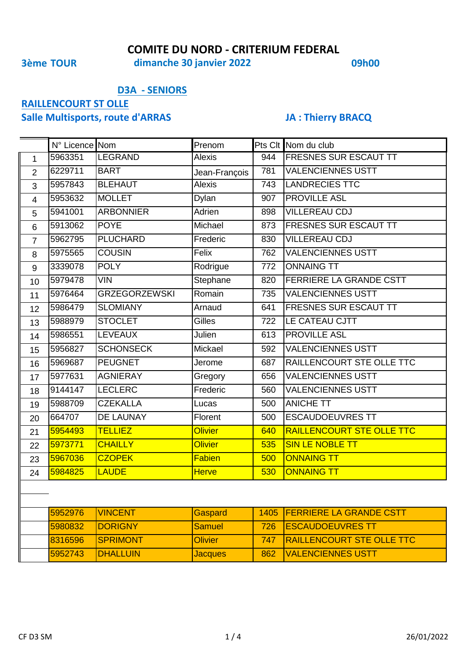**3ème TOUR 09h00 dimanche 30 janvier 2022**

### **D3A - SENIORS**

# **RAILLENCOURT ST OLLE**

## **Salle Multisports, route d'ARRAS JA : Thierry BRACQ**

|                  | N° Licence Nom |                      | Prenom         |      | Pts Clt Nom du club              |
|------------------|----------------|----------------------|----------------|------|----------------------------------|
| $\mathbf{1}$     | 5963351        | LEGRAND              | <b>Alexis</b>  | 944  | <b>FRESNES SUR ESCAUT TT</b>     |
| $\overline{2}$   | 6229711        | <b>BART</b>          | Jean-François  | 781  | <b>VALENCIENNES USTT</b>         |
| 3                | 5957843        | <b>BLEHAUT</b>       | <b>Alexis</b>  | 743  | <b>LANDRECIES TTC</b>            |
| $\overline{4}$   | 5953632        | <b>MOLLET</b>        | Dylan          | 907  | <b>PROVILLE ASL</b>              |
| 5                | 5941001        | <b>ARBONNIER</b>     | Adrien         | 898  | <b>VILLEREAU CDJ</b>             |
| 6                | 5913062        | <b>POYE</b>          | Michael        | 873  | FRESNES SUR ESCAUT TT            |
| $\overline{7}$   | 5962795        | <b>PLUCHARD</b>      | Frederic       | 830  | <b>VILLEREAU CDJ</b>             |
| 8                | 5975565        | <b>COUSIN</b>        | Felix          | 762  | <b>VALENCIENNES USTT</b>         |
| $\boldsymbol{9}$ | 3339078        | <b>POLY</b>          | Rodrigue       | 772  | <b>ONNAING TT</b>                |
| 10               | 5979478        | <b>VIN</b>           | Stephane       | 820  | FERRIERE LA GRANDE CSTT          |
| 11               | 5976464        | <b>GRZEGORZEWSKI</b> | Romain         | 735  | <b>VALENCIENNES USTT</b>         |
| 12               | 5986479        | <b>SLOMIANY</b>      | Arnaud         | 641  | FRESNES SUR ESCAUT TT            |
| 13               | 5988979        | <b>STOCLET</b>       | <b>Gilles</b>  | 722  | LE CATEAU CJTT                   |
| 14               | 5986551        | <b>LEVEAUX</b>       | Julien         | 613  | <b>PROVILLE ASL</b>              |
| 15               | 5956827        | <b>SCHONSECK</b>     | Mickael        | 592  | <b>VALENCIENNES USTT</b>         |
| 16               | 5969687        | <b>PEUGNET</b>       | Jerome         | 687  | RAILLENCOURT STE OLLE TTC        |
| 17               | 5977631        | <b>AGNIERAY</b>      | Gregory        | 656  | <b>VALENCIENNES USTT</b>         |
| 18               | 9144147        | <b>LECLERC</b>       | Frederic       | 560  | <b>VALENCIENNES USTT</b>         |
| 19               | 5988709        | <b>CZEKALLA</b>      | Lucas          | 500  | <b>ANICHE TT</b>                 |
| 20               | 664707         | DE LAUNAY            | Florent        | 500  | <b>ESCAUDOEUVRES TT</b>          |
| 21               | 5954493        | <b>TELLIEZ</b>       | <b>Olivier</b> | 640  | <b>RAILLENCOURT STE OLLE TTC</b> |
| 22               | 5973771        | <b>CHAILLY</b>       | <b>Olivier</b> | 535  | <b>SIN LE NOBLE TT</b>           |
| 23               | 5967036        | <b>CZOPEK</b>        | Fabien         | 500  | <b>ONNAING TT</b>                |
| 24               | 5984825        | <b>LAUDE</b>         | <b>Herve</b>   | 530  | <b>ONNAING TT</b>                |
|                  |                |                      |                |      |                                  |
|                  |                |                      |                |      |                                  |
|                  | 5952976        | <b>VINCENT</b>       | Gaspard        | 1405 | <b>FERRIERE LA GRANDE CSTT</b>   |
|                  | 5980832        | <b>DORIGNY</b>       | <b>Samuel</b>  | 726  | <b>ESCAUDOEUVRES TT</b>          |
|                  | 8316596        | <b>SPRIMONT</b>      | <b>Olivier</b> | 747  | <b>RAILLENCOURT STE OLLE TTC</b> |
|                  | 5952743        | <b>DHALLUIN</b>      | <b>Jacques</b> | 862  | <b>VALENCIENNES USTT</b>         |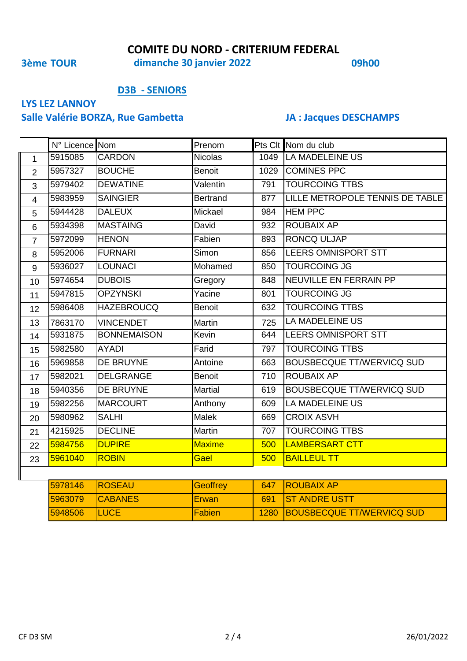**3ème TOUR 09h00 dimanche 30 janvier 2022**

### **D3B - SENIORS**

## **LYS LEZ LANNOY**

## **Salle Valérie BORZA, Rue Gambetta JA : Jacques DESCHAMPS**

|                | N° Licence Nom |                    | Prenom          |      | Pts Clt Nom du club              |
|----------------|----------------|--------------------|-----------------|------|----------------------------------|
| $\mathbf{1}$   | 5915085        | <b>CARDON</b>      | <b>Nicolas</b>  | 1049 | <b>LA MADELEINE US</b>           |
| $\overline{2}$ | 5957327        | <b>BOUCHE</b>      | <b>Benoit</b>   | 1029 | <b>COMINES PPC</b>               |
| 3              | 5979402        | <b>DEWATINE</b>    | Valentin        | 791  | <b>TOURCOING TTBS</b>            |
| $\overline{4}$ | 5983959        | <b>SAINGIER</b>    | <b>Bertrand</b> | 877  | LILLE METROPOLE TENNIS DE TABLE  |
| 5              | 5944428        | <b>DALEUX</b>      | Mickael         | 984  | <b>HEM PPC</b>                   |
| $6\phantom{1}$ | 5934398        | <b>MASTAING</b>    | David           | 932  | <b>ROUBAIX AP</b>                |
| $\overline{7}$ | 5972099        | <b>HENON</b>       | Fabien          | 893  | <b>RONCQ ULJAP</b>               |
| 8              | 5952006        | <b>FURNARI</b>     | Simon           | 856  | LEERS OMNISPORT STT              |
| 9              | 5936027        | <b>LOUNACI</b>     | Mohamed         | 850  | <b>TOURCOING JG</b>              |
| 10             | 5974654        | <b>DUBOIS</b>      | Gregory         | 848  | NEUVILLE EN FERRAIN PP           |
| 11             | 5947815        | <b>OPZYNSKI</b>    | Yacine          | 801  | <b>TOURCOING JG</b>              |
| 12             | 5986408        | <b>HAZEBROUCQ</b>  | <b>Benoit</b>   | 632  | <b>TOURCOING TTBS</b>            |
| 13             | 7863170        | <b>VINCENDET</b>   | Martin          | 725  | <b>LA MADELEINE US</b>           |
| 14             | 5931875        | <b>BONNEMAISON</b> | Kevin           | 644  | LEERS OMNISPORT STT              |
| 15             | 5982580        | <b>AYADI</b>       | Farid           | 797  | <b>TOURCOING TTBS</b>            |
| 16             | 5969858        | DE BRUYNE          | Antoine         | 663  | <b>BOUSBECQUE TT/WERVICQ SUD</b> |
| 17             | 5982021        | <b>DELGRANGE</b>   | <b>Benoit</b>   | 710  | <b>ROUBAIX AP</b>                |
| 18             | 5940356        | DE BRUYNE          | <b>Martial</b>  | 619  | <b>BOUSBECQUE TT/WERVICQ SUD</b> |
| 19             | 5982256        | <b>MARCOURT</b>    | Anthony         | 609  | <b>LA MADELEINE US</b>           |
| 20             | 5980962        | <b>SALHI</b>       | <b>Malek</b>    | 669  | <b>CROIX ASVH</b>                |
| 21             | 4215925        | <b>DECLINE</b>     | Martin          | 707  | <b>TOURCOING TTBS</b>            |
| 22             | 5984756        | <b>DUPIRE</b>      | <b>Maxime</b>   | 500  | <b>LAMBERSART CTT</b>            |
| 23             | 5961040        | <b>ROBIN</b>       | Gael            | 500  | <b>BAILLEUL TT</b>               |

| 5978146 | <b>IROSEAU</b>  | <b>Geoffrey</b> | 647 ROUBAIX AP                 |
|---------|-----------------|-----------------|--------------------------------|
| 5963079 | <b>ICABANES</b> | <b>IErwan</b>   | 691 IST ANDRE USTT             |
| 5948506 | <b>ILUCE</b>    | <b>IFabien</b>  | 1280 BOUSBECQUE TT/WERVICQ SUD |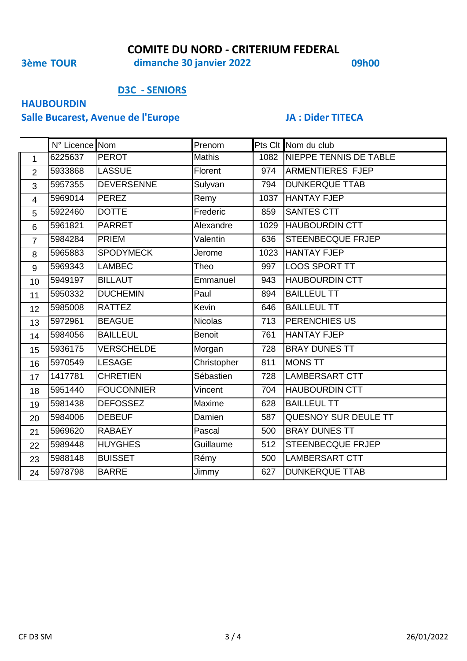**3ème TOUR 09h00 dimanche 30 janvier 2022**

### **D3C - SENIORS**

## **HAUBOURDIN**

## **Salle Bucarest, Avenue de l'Europe JA : Dider TITECA**

|                | N° Licence Nom |                   | Prenom         |     | Pts Clt Nom du club         |
|----------------|----------------|-------------------|----------------|-----|-----------------------------|
| $\mathbf{1}$   | 6225637        | <b>PEROT</b>      | <b>Mathis</b>  |     | 1082 NIEPPE TENNIS DE TABLE |
| $\overline{2}$ | 5933868        | <b>LASSUE</b>     | Florent        | 974 | <b>ARMENTIERES FJEP</b>     |
| 3              | 5957355        | <b>DEVERSENNE</b> | Sulyvan        | 794 | <b>DUNKERQUE TTAB</b>       |
| $\overline{4}$ | 5969014        | <b>PEREZ</b>      | Remy           |     | 1037 HANTAY FJEP            |
| 5              | 5922460        | <b>DOTTE</b>      | Frederic       | 859 | <b>SANTES CTT</b>           |
| 6              | 5961821        | <b>PARRET</b>     | Alexandre      |     | 1029 HAUBOURDIN CTT         |
| $\overline{7}$ | 5984284        | <b>PRIEM</b>      | Valentin       | 636 | <b>STEENBECQUE FRJEP</b>    |
| 8              | 5965883        | <b>SPODYMECK</b>  | Jerome         |     | 1023 HANTAY FJEP            |
| 9              | 5969343        | <b>LAMBEC</b>     | Theo           | 997 | LOOS SPORT TT               |
| 10             | 5949197        | <b>BILLAUT</b>    | Emmanuel       | 943 | <b>HAUBOURDIN CTT</b>       |
| 11             | 5950332        | <b>DUCHEMIN</b>   | Paul           | 894 | <b>BAILLEUL TT</b>          |
| 12             | 5985008        | <b>RATTEZ</b>     | Kevin          | 646 | <b>BAILLEUL TT</b>          |
| 13             | 5972961        | <b>BEAGUE</b>     | <b>Nicolas</b> | 713 | <b>PERENCHIES US</b>        |
| 14             | 5984056        | <b>BAILLEUL</b>   | <b>Benoit</b>  | 761 | <b>HANTAY FJEP</b>          |
| 15             | 5936175        | <b>VERSCHELDE</b> | Morgan         | 728 | <b>BRAY DUNES TT</b>        |
| 16             | 5970549        | <b>LESAGE</b>     | Christopher    | 811 | <b>MONS TT</b>              |
| 17             | 1417781        | <b>CHRETIEN</b>   | Sébastien      | 728 | LAMBERSART CTT              |
| 18             | 5951440        | <b>FOUCONNIER</b> | Vincent        | 704 | <b>HAUBOURDIN CTT</b>       |
| 19             | 5981438        | <b>DEFOSSEZ</b>   | Maxime         | 628 | <b>BAILLEUL TT</b>          |
| 20             | 5984006        | <b>DEBEUF</b>     | Damien         | 587 | QUESNOY SUR DEULE TT        |
| 21             | 5969620        | <b>RABAEY</b>     | Pascal         | 500 | <b>BRAY DUNES TT</b>        |
| 22             | 5989448        | <b>HUYGHES</b>    | Guillaume      | 512 | STEENBECQUE FRJEP           |
| 23             | 5988148        | <b>BUISSET</b>    | Rémy           | 500 | LAMBERSART CTT              |
| 24             | 5978798        | <b>BARRE</b>      | Jimmy          | 627 | <b>DUNKERQUE TTAB</b>       |